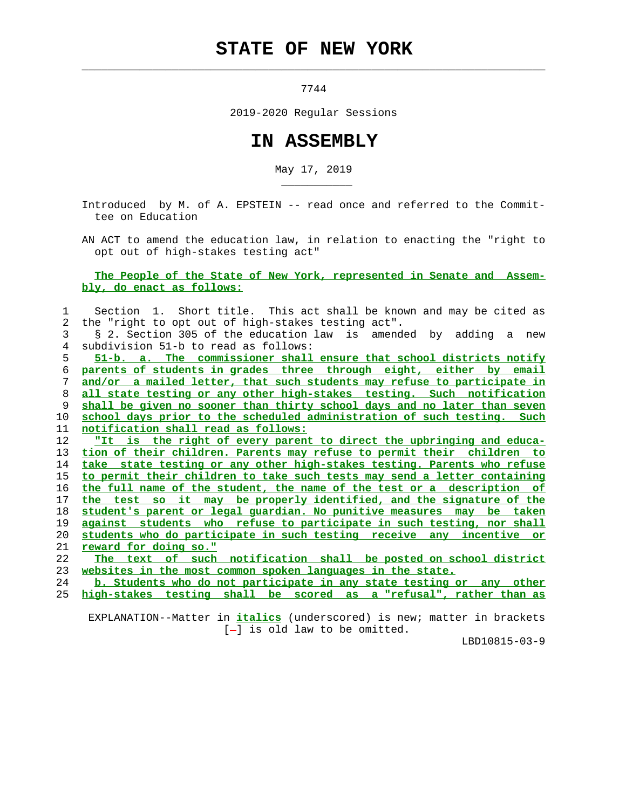## **STATE OF NEW YORK**

 $\mathcal{L}_\text{max} = \frac{1}{2} \sum_{i=1}^{n} \frac{1}{2} \sum_{i=1}^{n} \frac{1}{2} \sum_{i=1}^{n} \frac{1}{2} \sum_{i=1}^{n} \frac{1}{2} \sum_{i=1}^{n} \frac{1}{2} \sum_{i=1}^{n} \frac{1}{2} \sum_{i=1}^{n} \frac{1}{2} \sum_{i=1}^{n} \frac{1}{2} \sum_{i=1}^{n} \frac{1}{2} \sum_{i=1}^{n} \frac{1}{2} \sum_{i=1}^{n} \frac{1}{2} \sum_{i=1}^{n} \frac{1$ 

\_\_\_\_\_\_\_\_\_\_\_

7744

2019-2020 Regular Sessions

## **IN ASSEMBLY**

May 17, 2019

 Introduced by M. of A. EPSTEIN -- read once and referred to the Commit tee on Education

 AN ACT to amend the education law, in relation to enacting the "right to opt out of high-stakes testing act"

## **The People of the State of New York, represented in Senate and Assem bly, do enact as follows:**

| $\mathbf 1$ | Section 1. Short title. This act shall be known and may be cited as      |
|-------------|--------------------------------------------------------------------------|
| 2           | the "right to opt out of high-stakes testing act".                       |
| 3           | § 2. Section 305 of the education law is amended by adding a new         |
| 4           | subdivision 51-b to read as follows:                                     |
| 5           | 51-b. a. The commissioner shall ensure that school districts notify      |
| 6           | parents of students in grades three through eight, either by email       |
| 7           | and/or a mailed letter, that such students may refuse to participate in  |
| 8           | all state testing or any other high-stakes testing. Such notification    |
| 9           | shall be given no sooner than thirty school days and no later than seven |
| 10          | school days prior to the scheduled administration of such testing. Such  |
| 11          | notification shall read as follows:                                      |
| 12          | "It is the right of every parent to direct the upbringing and educa-     |
| 13          | tion of their children. Parents may refuse to permit their children to   |
| 14          | take state testing or any other high-stakes testing. Parents who refuse  |
| 15          | to permit their children to take such tests may send a letter containing |
| 16          | the full name of the student, the name of the test or a description of   |
| 17          | the test so it may be properly identified, and the signature of the      |
| 18          | student's parent or legal quardian. No punitive measures may be taken    |
| 19          | against students who refuse to participate in such testing, nor shall    |
| 20          | students who do participate in such testing receive any incentive or     |
| 21          | <u>reward for doing so."</u>                                             |
| 22          | The text of such notification shall be posted on school district         |
| 23          | websites in the most common spoken languages in the state.               |
| 24          | b. Students who do not participate in any state testing or any other     |
| 25          | high-stakes testing shall be scored as a "refusal", rather than as       |
|             |                                                                          |

 EXPLANATION--Matter in **italics** (underscored) is new; matter in brackets [-] is old law to be omitted.

LBD10815-03-9